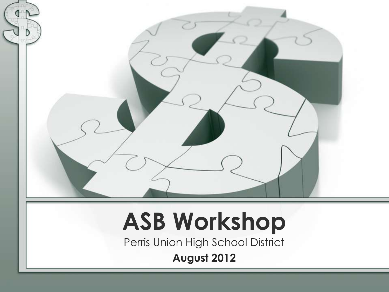

### **ASB Workshop**

Perris Union High School District

**August 2012**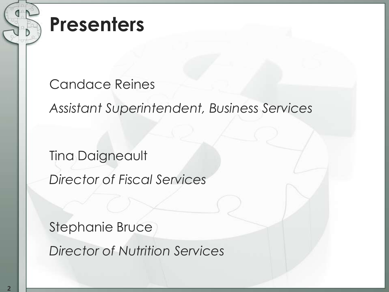

#### Candace Reines

*Assistant Superintendent, Business Services*

Tina Daigneault

*Director of Fiscal Services*

Stephanie Bruce

*Director of Nutrition Services*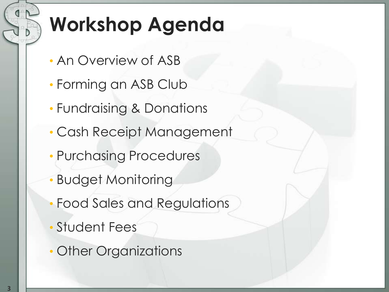### **Workshop Agenda**

- An Overview of ASB
- Forming an ASB Club
- Fundraising & Donations
- Cash Receipt Management
- Purchasing Procedures
- Budget Monitoring
- Food Sales and Regulations
- Student Fees
- Other Organizations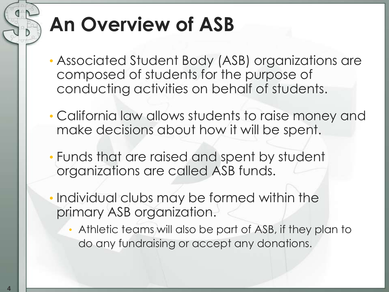### **An Overview of ASB**

- Associated Student Body (ASB) organizations are composed of students for the purpose of conducting activities on behalf of students.
- California law allows students to raise money and make decisions about how it will be spent.
- Funds that are raised and spent by student organizations are called ASB funds.
- Individual clubs may be formed within the primary ASB organization.
	- Athletic teams will also be part of ASB, if they plan to do any fundraising or accept any donations.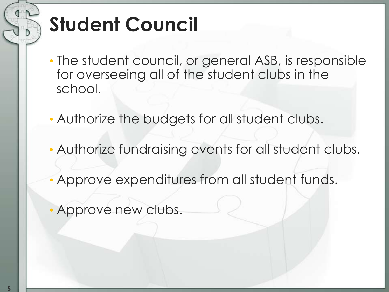### **Student Council**

- The student council, or general ASB, is responsible for overseeing all of the student clubs in the school.
- Authorize the budgets for all student clubs.
- Authorize fundraising events for all student clubs.
- Approve expenditures from all student funds.
- Approve new clubs.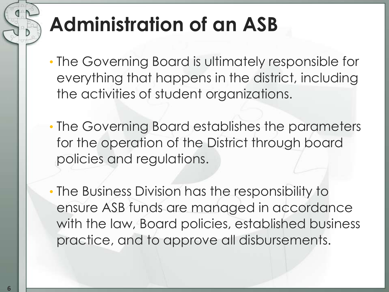### **Administration of an ASB**

- The Governing Board is ultimately responsible for everything that happens in the district, including the activities of student organizations.
- The Governing Board establishes the parameters for the operation of the District through board policies and regulations.
- The Business Division has the responsibility to ensure ASB funds are managed in accordance with the law, Board policies, established business practice, and to approve all disbursements.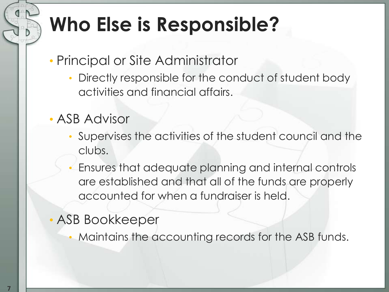### **Who Else is Responsible?**

- Principal or Site Administrator
	- Directly responsible for the conduct of student body activities and financial affairs.
- ASB Advisor
	- Supervises the activities of the student council and the clubs.
	- Ensures that adequate planning and internal controls are established and that all of the funds are properly accounted for when a fundraiser is held.
- ASB Bookkeeper
	- Maintains the accounting records for the ASB funds.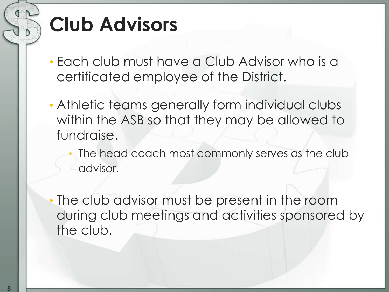### **Club Advisors**

- Each club must have a Club Advisor who is a certificated employee of the District.
- Athletic teams generally form individual clubs within the ASB so that they may be allowed to fundraise.
	- The head coach most commonly serves as the club advisor.
- The club advisor must be present in the room during club meetings and activities sponsored by the club.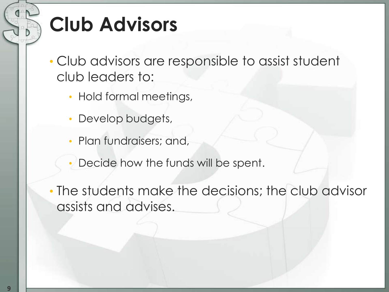### **Club Advisors**

• Club advisors are responsible to assist student club leaders to:

- Hold formal meetings,
- Develop budgets,
- Plan fundraisers; and,
- Decide how the funds will be spent.
- The students make the decisions; the club advisor assists and advises.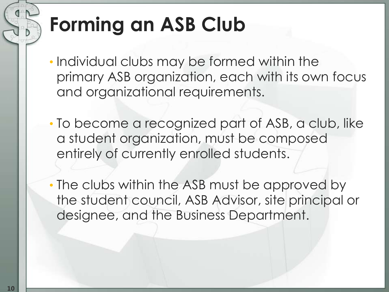### **Forming an ASB Club**

- Individual clubs may be formed within the primary ASB organization, each with its own focus and organizational requirements.
- To become a recognized part of ASB, a club, like a student organization, must be composed entirely of currently enrolled students.
- The clubs within the ASB must be approved by the student council, ASB Advisor, site principal or designee, and the Business Department.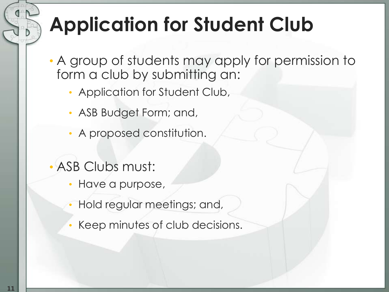### **Application for Student Club**

- A group of students may apply for permission to form a club by submitting an:
	- Application for Student Club,
	- ASB Budget Form; and,
	- A proposed constitution.
- ASB Clubs must:
	- Have a purpose,
	- Hold regular meetings; and,
	- Keep minutes of club decisions.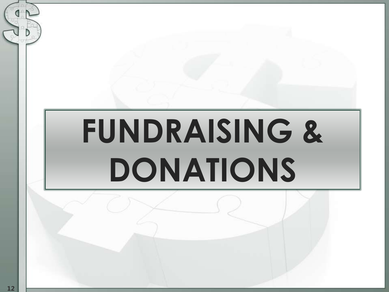# **FUNDRAISING & DONATIONS**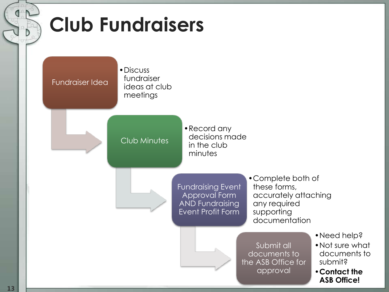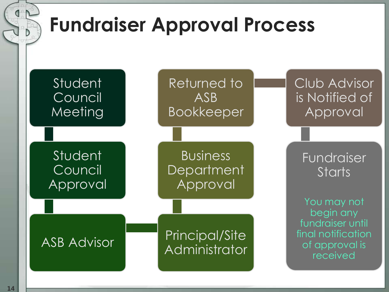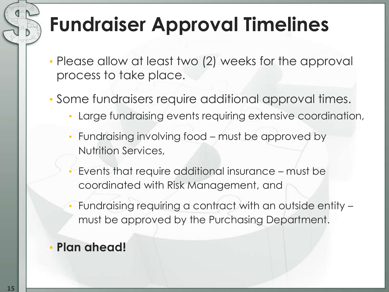### **Fundraiser Approval Timelines**

- Please allow at least two (2) weeks for the approval process to take place.
- Some fundraisers require additional approval times.
	- Large fundraising events requiring extensive coordination,
	- Fundraising involving food must be approved by Nutrition Services,
	- Events that require additional insurance must be coordinated with Risk Management, and
	- Fundraising requiring a contract with an outside entity must be approved by the Purchasing Department.
- **Plan ahead!**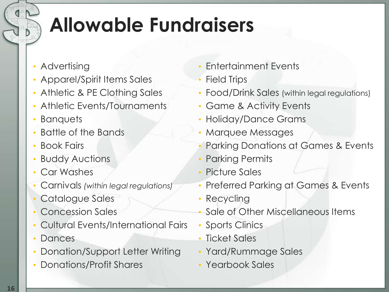### **Allowable Fundraisers**

- Advertising
- Apparel/Spirit Items Sales
- Athletic & PE Clothing Sales
- Athletic Events/Tournaments
- Banquets
- Battle of the Bands
- Book Fairs
- **Buddy Auctions**
- Car Washes
- Carnivals *(within legal regulations)*
- Catalogue Sales
- Concession Sales
- Cultural Events/International Fairs
- Dances
- Donation/Support Letter Writing
- Donations/Profit Shares
- Entertainment Events
- Field Trips
- Food/Drink Sales (within legal regulations)
- Game & Activity Events
- Holiday/Dance Grams
- Marquee Messages
- Parking Donations at Games & Events
- Parking Permits
- Picture Sales
- Preferred Parking at Games & Events
- Recycling
- Sale of Other Miscellaneous Items
- Sports Clinics
- Ticket Sales
- Yard/Rummage Sales
- Yearbook Sales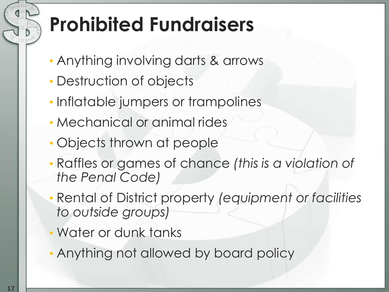### **Prohibited Fundraisers**

- Anything involving darts & arrows
- Destruction of objects
- Inflatable jumpers or trampolines
- Mechanical or animal rides
- Objects thrown at people
- Raffles or games of chance *(this is a violation of the Penal Code)*
- Rental of District property *(equipment or facilities to outside groups)*
- Water or dunk tanks
- Anything not allowed by board policy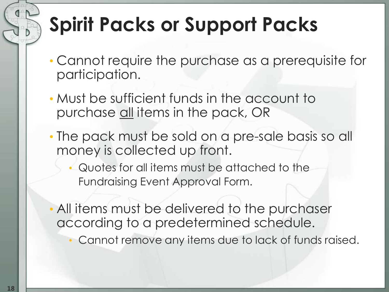### **Spirit Packs or Support Packs**

- Cannot require the purchase as a prerequisite for participation.
- Must be sufficient funds in the account to purchase all items in the pack, OR
- The pack must be sold on a pre-sale basis so all money is collected up front.
	- Quotes for all items must be attached to the Fundraising Event Approval Form.
- All items must be delivered to the purchaser according to a predetermined schedule.
	- Cannot remove any items due to lack of funds raised.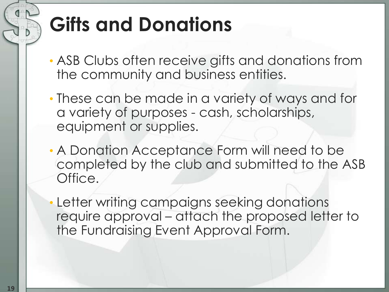### **Gifts and Donations**

- ASB Clubs often receive gifts and donations from the community and business entities.
- These can be made in a variety of ways and for a variety of purposes - cash, scholarships, equipment or supplies.
- A Donation Acceptance Form will need to be completed by the club and submitted to the ASB Office.

• Letter writing campaigns seeking donations require approval – attach the proposed letter to the Fundraising Event Approval Form.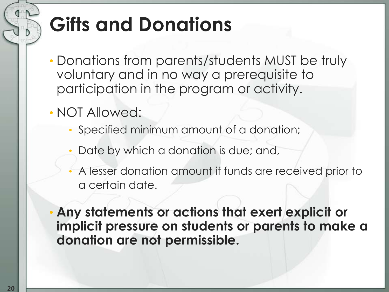### **Gifts and Donations**

- Donations from parents/students MUST be truly voluntary and in no way a prerequisite to participation in the program or activity.
- NOT Allowed:
	- Specified minimum amount of a donation;
	- Date by which a donation is due; and,
	- A lesser donation amount if funds are received prior to a certain date.
- **Any statements or actions that exert explicit or implicit pressure on students or parents to make a donation are not permissible.**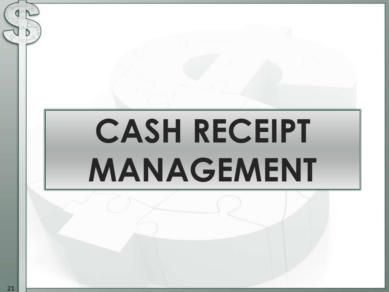# **CASH RECEIPT MANAGEMENT**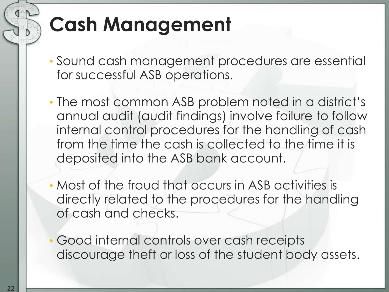### **Cash Management**

- Sound cash management procedures are essential for successful ASB operations.
- The most common ASB problem noted in a district's annual audit (audit findings) involve failure to follow internal control procedures for the handling of cash from the time the cash is collected to the time it is deposited into the ASB bank account.
- Most of the fraud that occurs in ASB activities is directly related to the procedures for the handling of cash and checks.
- Good internal controls over cash receipts discourage theft or loss of the student body assets.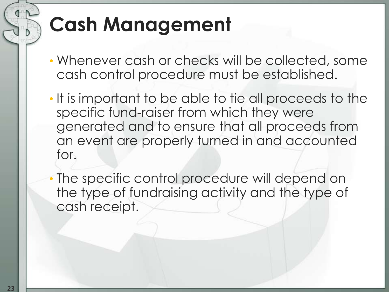### **Cash Management**

- Whenever cash or checks will be collected, some cash control procedure must be established.
- It is important to be able to tie all proceeds to the specific fund-raiser from which they were generated and to ensure that all proceeds from an event are properly turned in and accounted for.
- The specific control procedure will depend on the type of fundraising activity and the type of cash receipt.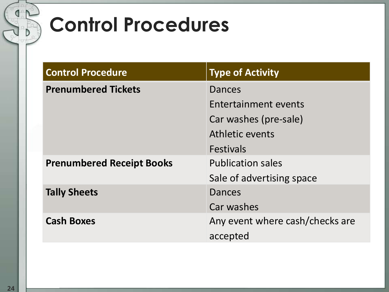### **Control Procedures**

| <b>Control Procedure</b>         | <b>Type of Activity</b>         |
|----------------------------------|---------------------------------|
| <b>Prenumbered Tickets</b>       | Dances                          |
|                                  | Entertainment events            |
|                                  | Car washes (pre-sale)           |
|                                  | Athletic events                 |
|                                  | <b>Festivals</b>                |
| <b>Prenumbered Receipt Books</b> | <b>Publication sales</b>        |
|                                  | Sale of advertising space       |
| <b>Tally Sheets</b>              | <b>Dances</b>                   |
|                                  | Car washes                      |
| <b>Cash Boxes</b>                | Any event where cash/checks are |
|                                  | accepted                        |

D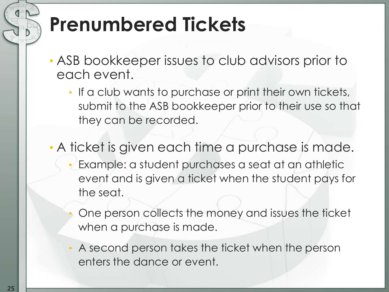### **Prenumbered Tickets**

- ASB bookkeeper issues to club advisors prior to each event.
	- If a club wants to purchase or print their own tickets, submit to the ASB bookkeeper prior to their use so that they can be recorded.
- A ticket is given each time a purchase is made. • Example: a student purchases a seat at an athletic event and is given a ticket when the student pays for the seat.
	- One person collects the money and issues the ticket when a purchase is made.
	- A second person takes the ticket when the person enters the dance or event.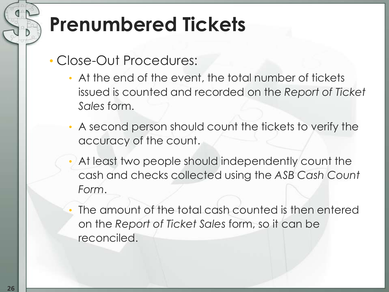### **Prenumbered Tickets**

- Close-Out Procedures:
	- At the end of the event, the total number of tickets issued is counted and recorded on the *Report of Ticket Sales* form.
	- A second person should count the tickets to verify the accuracy of the count.
	- At least two people should independently count the cash and checks collected using the *ASB Cash Count Form*.
	- The amount of the total cash counted is then entered on the *Report of Ticket Sales* form, so it can be reconciled.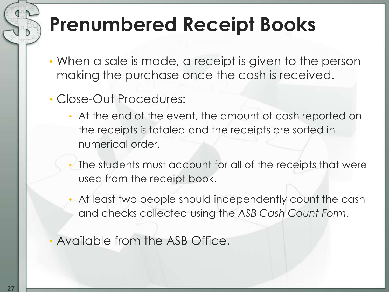### **Prenumbered Receipt Books**

- When a sale is made, a receipt is given to the person making the purchase once the cash is received.
- Close-Out Procedures:
	- At the end of the event, the amount of cash reported on the receipts is totaled and the receipts are sorted in numerical order.
	- The students must account for all of the receipts that were used from the receipt book.
	- At least two people should independently count the cash and checks collected using the *ASB Cash Count Form*.
- Available from the ASB Office.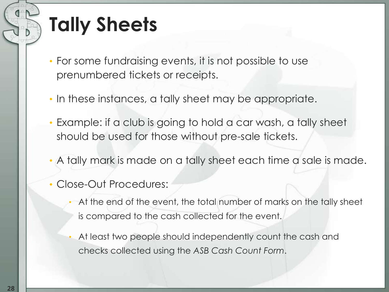### **Tally Sheets**

- For some fundraising events, it is not possible to use prenumbered tickets or receipts.
- In these instances, a tally sheet may be appropriate.
- Example: if a club is going to hold a car wash, a tally sheet should be used for those without pre-sale tickets.
- A tally mark is made on a tally sheet each time a sale is made.
- Close-Out Procedures:
	- At the end of the event, the total number of marks on the tally sheet is compared to the cash collected for the event.
	- At least two people should independently count the cash and checks collected using the *ASB Cash Count Form*.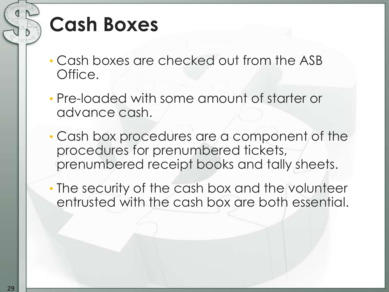#### **Cash Boxes**

- Cash boxes are checked out from the ASB Office.
- Pre-loaded with some amount of starter or advance cash.
- Cash box procedures are a component of the procedures for prenumbered tickets, prenumbered receipt books and tally sheets.
- The security of the cash box and the volunteer entrusted with the cash box are both essential.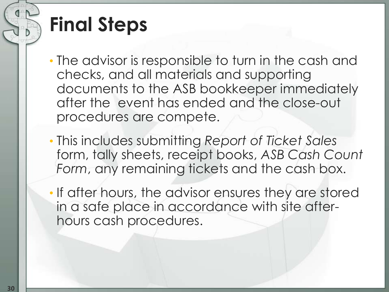### **Final Steps**

- The advisor is responsible to turn in the cash and checks, and all materials and supporting documents to the ASB bookkeeper immediately after the event has ended and the close-out procedures are compete.
- This includes submitting *Report of Ticket Sales* form, tally sheets, receipt books, *ASB Cash Count Form*, any remaining tickets and the cash box.
- If after hours, the advisor ensures they are stored in a safe place in accordance with site afterhours cash procedures.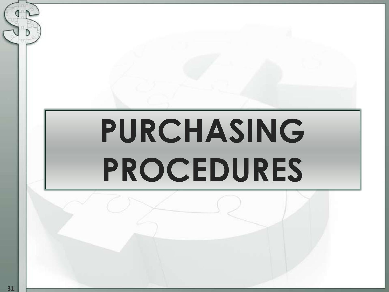# **PURCHASING PROCEDURES**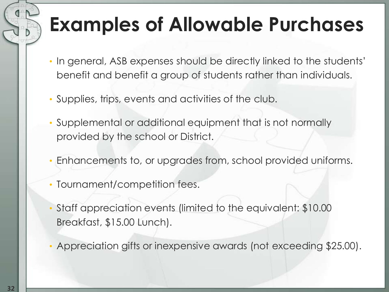### **Examples of Allowable Purchases**

- In general, ASB expenses should be directly linked to the students' benefit and benefit a group of students rather than individuals.
- Supplies, trips, events and activities of the club.
- Supplemental or additional equipment that is not normally provided by the school or District.
- Enhancements to, or upgrades from, school provided uniforms.
- Tournament/competition fees.
- Staff appreciation events (limited to the equivalent: \$10.00 Breakfast, \$15.00 Lunch).
- Appreciation gifts or inexpensive awards (not exceeding \$25.00).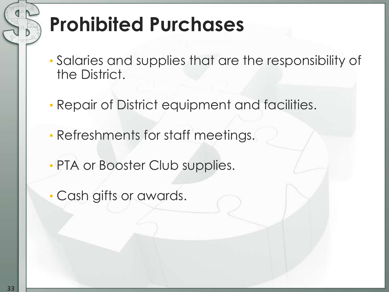### **Prohibited Purchases**

- Salaries and supplies that are the responsibility of the District.
- Repair of District equipment and facilities.
- Refreshments for staff meetings.
- PTA or Booster Club supplies.
- Cash gifts or awards.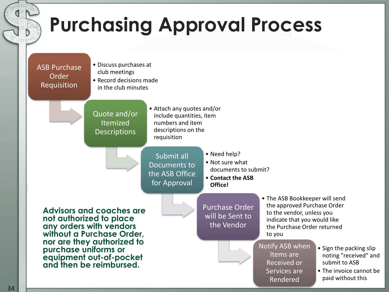

**34**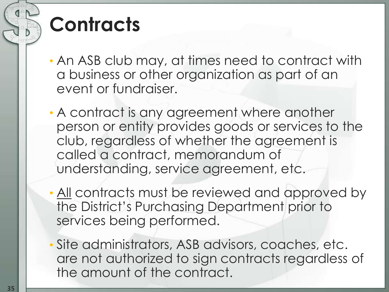### **Contracts**

- An ASB club may, at times need to contract with a business or other organization as part of an event or fundraiser.
- A contract is any agreement where another person or entity provides goods or services to the club, regardless of whether the agreement is called a contract, memorandum of understanding, service agreement, etc.
- All contracts must be reviewed and approved by the District's Purchasing Department prior to services being performed.
- Site administrators, ASB advisors, coaches, etc. are not authorized to sign contracts regardless of the amount of the contract.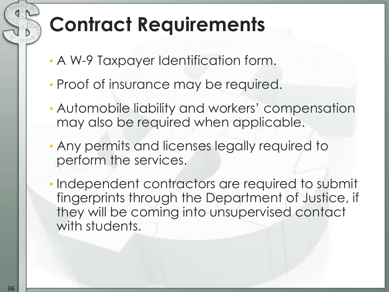### **Contract Requirements**

- A W-9 Taxpayer Identification form.
- Proof of insurance may be required.
- Automobile liability and workers' compensation may also be required when applicable.
- Any permits and licenses legally required to perform the services.
- Independent contractors are required to submit fingerprints through the Department of Justice, if they will be coming into unsupervised contact with students.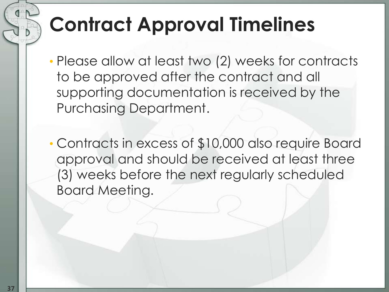## **Contract Approval Timelines**

- Please allow at least two (2) weeks for contracts to be approved after the contract and all supporting documentation is received by the Purchasing Department.
- Contracts in excess of \$10,000 also require Board approval and should be received at least three (3) weeks before the next regularly scheduled Board Meeting.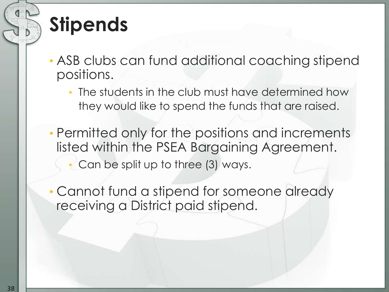## **Stipends**

- ASB clubs can fund additional coaching stipend positions.
	- The students in the club must have determined how they would like to spend the funds that are raised.
- Permitted only for the positions and increments listed within the PSEA Bargaining Agreement. • Can be split up to three (3) ways.
- Cannot fund a stipend for someone already receiving a District paid stipend.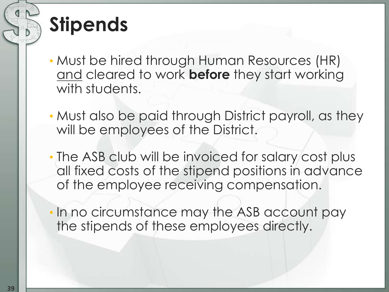## **Stipends**

- Must be hired through Human Resources (HR) and cleared to work **before** they start working with students.
- Must also be paid through District payroll, as they will be employees of the District.
- The ASB club will be invoiced for salary cost plus all fixed costs of the stipend positions in advance of the employee receiving compensation.
- In no circumstance may the ASB account pay the stipends of these employees directly.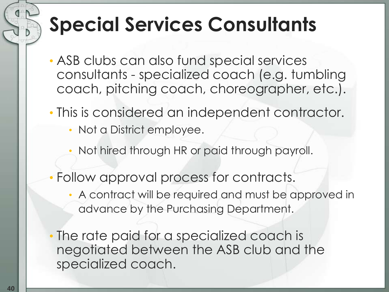### **Special Services Consultants**

- ASB clubs can also fund special services consultants - specialized coach (e.g. tumbling coach, pitching coach, choreographer, etc.).
- This is considered an independent contractor.
	- Not a District employee.
	- Not hired through HR or paid through payroll.
- Follow approval process for contracts.
	- A contract will be required and must be approved in advance by the Purchasing Department.
- The rate paid for a specialized coach is negotiated between the ASB club and the specialized coach.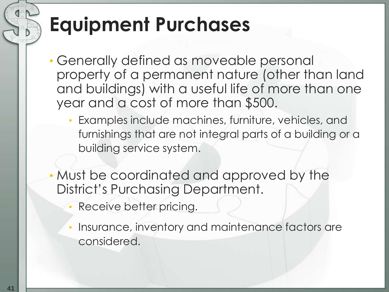## **Equipment Purchases**

- Generally defined as moveable personal property of a permanent nature (other than land and buildings) with a useful life of more than one year and a cost of more than \$500.
	- Examples include machines, furniture, vehicles, and furnishings that are not integral parts of a building or a building service system.
- Must be coordinated and approved by the District's Purchasing Department.
	- Receive better pricing.
	- Insurance, inventory and maintenance factors are considered.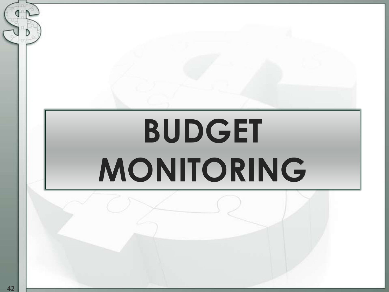# **BUDGET MONITORING**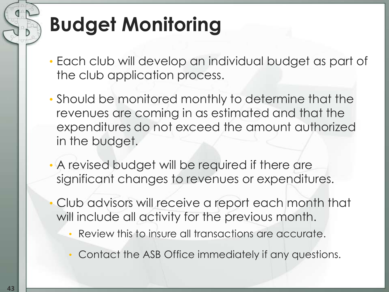# **Budget Monitoring**

- Each club will develop an individual budget as part of the club application process.
- Should be monitored monthly to determine that the revenues are coming in as estimated and that the expenditures do not exceed the amount authorized in the budget.
- A revised budget will be required if there are significant changes to revenues or expenditures.
- Club advisors will receive a report each month that will include all activity for the previous month.
	- Review this to insure all transactions are accurate.
	- Contact the ASB Office immediately if any questions.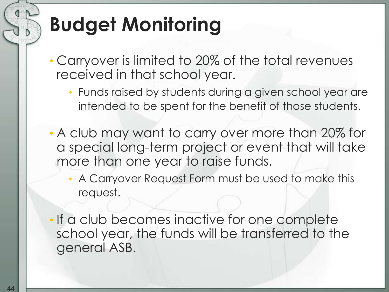# **Budget Monitoring**

- Carryover is limited to 20% of the total revenues received in that school year.
	- Funds raised by students during a given school year are intended to be spent for the benefit of those students.
- A club may want to carry over more than 20% for a special long-term project or event that will take more than one year to raise funds.
	- A Carryover Request Form must be used to make this request.
- If a club becomes inactive for one complete school year, the funds will be transferred to the general ASB.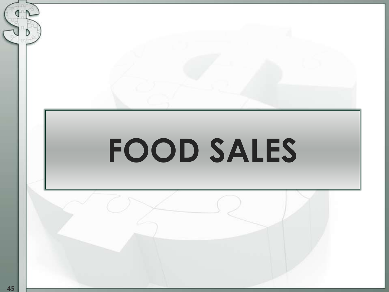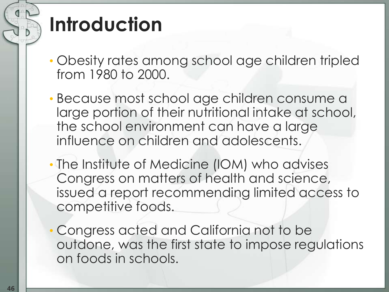### **Introduction**

- Obesity rates among school age children tripled from 1980 to 2000.
- Because most school age children consume a large portion of their nutritional intake at school, the school environment can have a large influence on children and adolescents.
- The Institute of Medicine (IOM) who advises Congress on matters of health and science, issued a report recommending limited access to competitive foods.
- Congress acted and California not to be outdone, was the first state to impose regulations on foods in schools.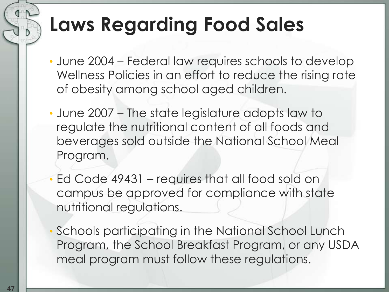## **Laws Regarding Food Sales**

- June 2004 Federal law requires schools to develop Wellness Policies in an effort to reduce the rising rate of obesity among school aged children.
- June 2007 The state legislature adopts law to regulate the nutritional content of all foods and beverages sold outside the National School Meal Program.
- Ed Code 49431 requires that all food sold on campus be approved for compliance with state nutritional regulations.
- Schools participating in the National School Lunch Program, the School Breakfast Program, or any USDA meal program must follow these regulations.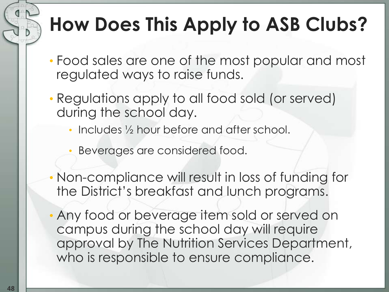## **How Does This Apply to ASB Clubs?**

- Food sales are one of the most popular and most regulated ways to raise funds.
- Regulations apply to all food sold (or served) during the school day.
	- Includes 1/2 hour before and after school.
	- Beverages are considered food.
- Non-compliance will result in loss of funding for the District's breakfast and lunch programs.
- Any food or beverage item sold or served on campus during the school day will require approval by The Nutrition Services Department, who is responsible to ensure compliance.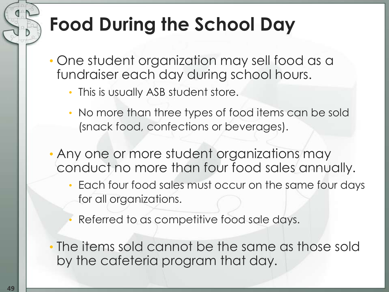#### **Food During the School Day**

- One student organization may sell food as a fundraiser each day during school hours.
	- This is usually ASB student store.
	- No more than three types of food items can be sold (snack food, confections or beverages).
- Any one or more student organizations may conduct no more than four food sales annually.
	- Each four food sales must occur on the same four days for all organizations.
	- Referred to as competitive food sale days.
- The items sold cannot be the same as those sold by the cafeteria program that day.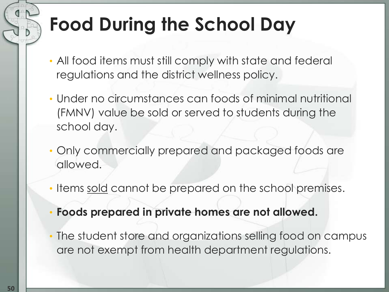## **Food During the School Day**

- All food items must still comply with state and federal regulations and the district wellness policy.
- Under no circumstances can foods of minimal nutritional (FMNV) value be sold or served to students during the school day.
- Only commercially prepared and packaged foods are allowed.
- Items sold cannot be prepared on the school premises.
- **Foods prepared in private homes are not allowed.**
- The student store and organizations selling food on campus are not exempt from health department regulations.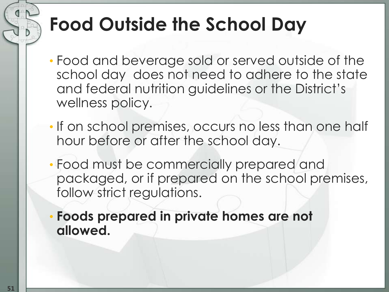#### **Food Outside the School Day**

- Food and beverage sold or served outside of the school day does not need to adhere to the state and federal nutrition guidelines or the District's wellness policy.
- If on school premises, occurs no less than one half hour before or after the school day.
- Food must be commercially prepared and packaged, or if prepared on the school premises, follow strict regulations.
- **Foods prepared in private homes are not allowed.**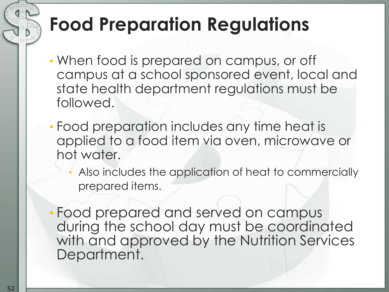#### **Food Preparation Regulations**

- When food is prepared on campus, or off campus at a school sponsored event, local and state health department regulations must be followed.
- Food preparation includes any time heat is applied to a food item via oven, microwave or hot water.
	- Also includes the application of heat to commercially prepared items.
- Food prepared and served on campus during the school day must be coordinated with and approved by the Nutrition Services Department.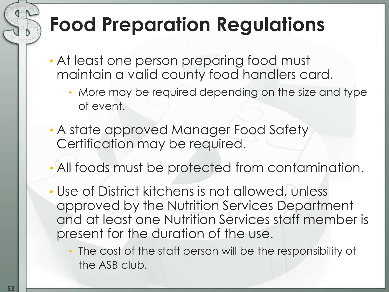## **Food Preparation Regulations**

- At least one person preparing food must maintain a valid county food handlers card.
	- More may be required depending on the size and type of event.
- A state approved Manager Food Safety Certification may be required.
- All foods must be protected from contamination.
- Use of District kitchens is not allowed, unless approved by the Nutrition Services Department and at least one Nutrition Services staff member is present for the duration of the use.
	- The cost of the staff person will be the responsibility of the ASB club.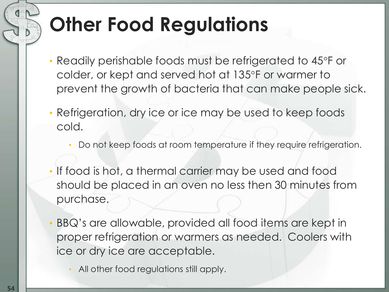## **Other Food Regulations**

- Readily perishable foods must be refrigerated to 45°F or colder, or kept and served hot at 135°F or warmer to prevent the growth of bacteria that can make people sick.
- Refrigeration, dry ice or ice may be used to keep foods cold.
	- Do not keep foods at room temperature if they require refrigeration.
- If food is hot, a thermal carrier may be used and food should be placed in an oven no less then 30 minutes from purchase.
- BBQ's are allowable, provided all food items are kept in proper refrigeration or warmers as needed. Coolers with ice or dry ice are acceptable.
	- All other food regulations still apply.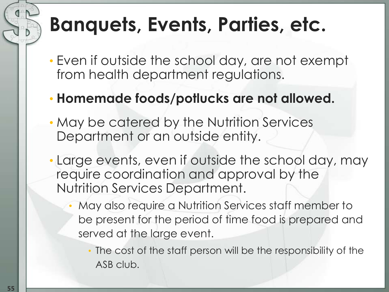#### **Banquets, Events, Parties, etc.**

- Even if outside the school day, are not exempt from health department regulations.
- **Homemade foods/potlucks are not allowed.**
- May be catered by the Nutrition Services Department or an outside entity.
- Large events, even if outside the school day, may require coordination and approval by the Nutrition Services Department.
	- May also require a Nutrition Services staff member to be present for the period of time food is prepared and served at the large event.
		- The cost of the staff person will be the responsibility of the ASB club.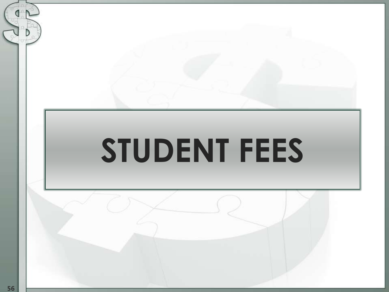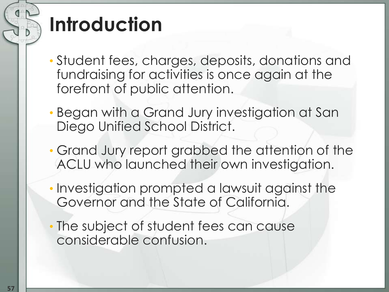## **Introduction**

- Student fees, charges, deposits, donations and fundraising for activities is once again at the forefront of public attention.
- Began with a Grand Jury investigation at San Diego Unified School District.
- Grand Jury report grabbed the attention of the ACLU who launched their own investigation.
- Investigation prompted a lawsuit against the Governor and the State of California.
- The subject of student fees can cause considerable confusion.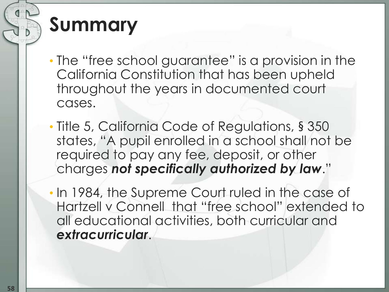#### **Summary**

- The "free school guarantee" is a provision in the California Constitution that has been upheld throughout the years in documented court cases.
- Title 5, California Code of Regulations, § 350 states, "A pupil enrolled in a school shall not be required to pay any fee, deposit, or other charges *not specifically authorized by law*."
- In 1984, the Supreme Court ruled in the case of Hartzell v Connell that "free school" extended to all educational activities, both curricular and *extracurricular*.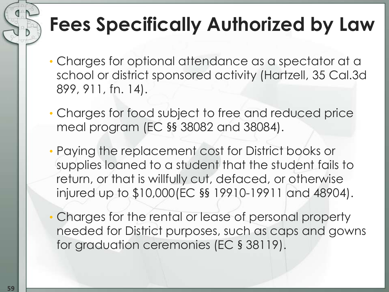#### **Fees Specifically Authorized by Law**

- Charges for optional attendance as a spectator at a school or district sponsored activity (Hartzell, 35 Cal.3d 899, 911, fn. 14).
- Charges for food subject to free and reduced price meal program (EC §§ 38082 and 38084).
- Paying the replacement cost for District books or supplies loaned to a student that the student fails to return, or that is willfully cut, defaced, or otherwise injured up to \$10,000(EC §§ 19910-19911 and 48904).
- Charges for the rental or lease of personal property needed for District purposes, such as caps and gowns for graduation ceremonies (EC § 38119).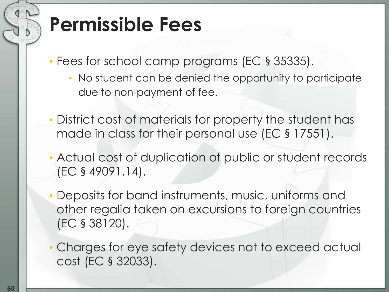- Fees for school camp programs (EC § 35335).
	- No student can be denied the opportunity to participate due to non-payment of fee.
- District cost of materials for property the student has made in class for their personal use (EC § 17551).
- Actual cost of duplication of public or student records (EC § 49091.14).
- Deposits for band instruments, music, uniforms and other regalia taken on excursions to foreign countries (EC § 38120).
- Charges for eye safety devices not to exceed actual cost (EC § 32033).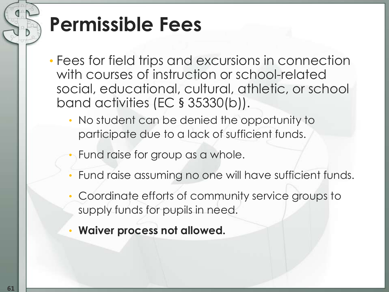- Fees for field trips and excursions in connection with courses of instruction or school-related social, educational, cultural, athletic, or school band activities (EC § 35330(b)).
	- No student can be denied the opportunity to participate due to a lack of sufficient funds.
	- Fund raise for group as a whole.
	- Fund raise assuming no one will have sufficient funds.
	- Coordinate efforts of community service groups to supply funds for pupils in need.
	- **Waiver process not allowed.**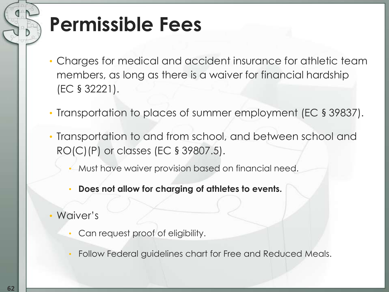- Charges for medical and accident insurance for athletic team members, as long as there is a waiver for financial hardship (EC § 32221).
- Transportation to places of summer employment (EC § 39837).
- Transportation to and from school, and between school and RO(C)(P) or classes (EC § 39807.5).
	- Must have waiver provision based on financial need.
	- **Does not allow for charging of athletes to events.**
- Waiver's
	- Can request proof of eligibility.
	- Follow Federal guidelines chart for Free and Reduced Meals.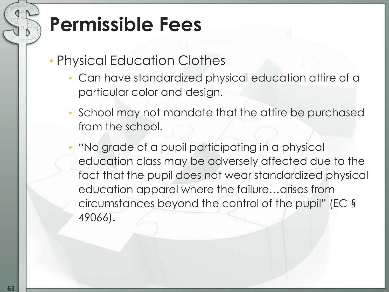- Physical Education Clothes
	- Can have standardized physical education attire of a particular color and design.
	- School may not mandate that the attire be purchased from the school.
	- "No grade of a pupil participating in a physical education class may be adversely affected due to the fact that the pupil does not wear standardized physical education apparel where the failure…arises from circumstances beyond the control of the pupil" (EC § 49066).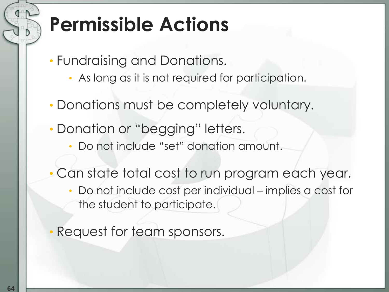## **Permissible Actions**

- Fundraising and Donations.
	- As long as it is not required for participation.
- Donations must be completely voluntary.
- Donation or "begging" letters.
	- Do not include "set" donation amount.
- Can state total cost to run program each year.
	- Do not include cost per individual implies a cost for the student to participate.
- Request for team sponsors.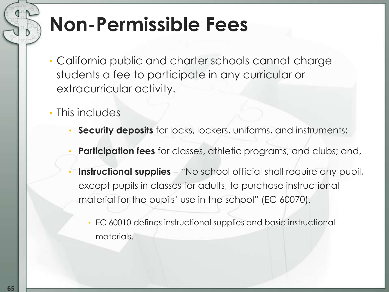#### **Non-Permissible Fees**

- California public and charter schools cannot charge students a fee to participate in any curricular or extracurricular activity.
- This includes
	- **Security deposits** for locks, lockers, uniforms, and instruments;
	- **Participation fees** for classes, athletic programs, and clubs; and,
	- **Instructional supplies** "No school official shall require any pupil, except pupils in classes for adults, to purchase instructional material for the pupils' use in the school" (EC 60070).
		- EC 60010 defines instructional supplies and basic instructional materials.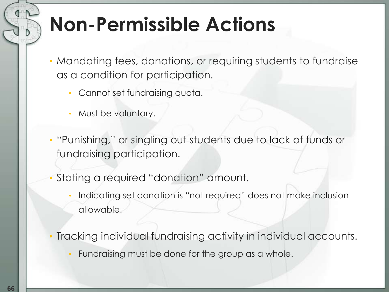#### **Non-Permissible Actions**

- Mandating fees, donations, or requiring students to fundraise as a condition for participation.
	- Cannot set fundraising quota.
	- Must be voluntary.
- "Punishing," or singling out students due to lack of funds or fundraising participation.
- Stating a required "donation" amount.
	- Indicating set donation is "not required" does not make inclusion allowable.
- Tracking individual fundraising activity in individual accounts.
	- Fundraising must be done for the group as a whole.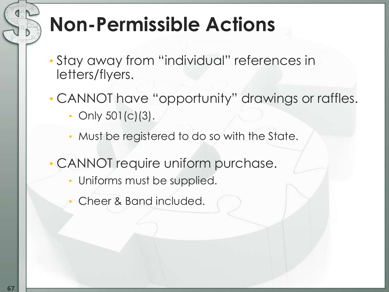## **Non-Permissible Actions**

- Stay away from "individual" references in letters/flyers.
- CANNOT have "opportunity" drawings or raffles.
	- Only 501(c)(3).
	- Must be registered to do so with the State.
- CANNOT require uniform purchase.
	- Uniforms must be supplied.
	- Cheer & Band included.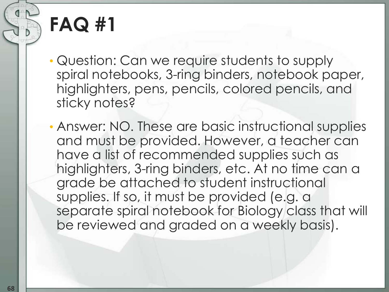- Question: Can we require students to supply spiral notebooks, 3-ring binders, notebook paper, highlighters, pens, pencils, colored pencils, and sticky notes?
- Answer: NO. These are basic instructional supplies and must be provided. However, a teacher can have a list of recommended supplies such as highlighters, 3-ring binders, etc. At no time can a grade be attached to student instructional supplies. If so, it must be provided (e.g. a separate spiral notebook for Biology class that will be reviewed and graded on a weekly basis).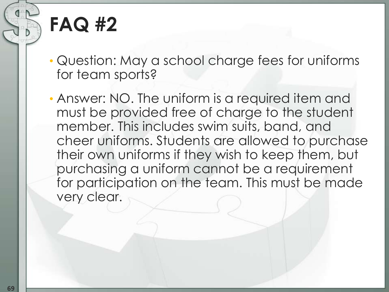• Question: May a school charge fees for uniforms for team sports?

• Answer: NO. The uniform is a required item and must be provided free of charge to the student member. This includes swim suits, band, and cheer uniforms. Students are allowed to purchase their own uniforms if they wish to keep them, but purchasing a uniform cannot be a requirement for participation on the team. This must be made very clear.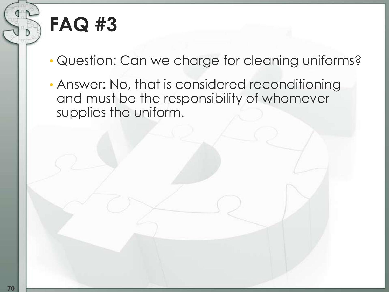• Question: Can we charge for cleaning uniforms?

• Answer: No, that is considered reconditioning and must be the responsibility of whomever supplies the uniform.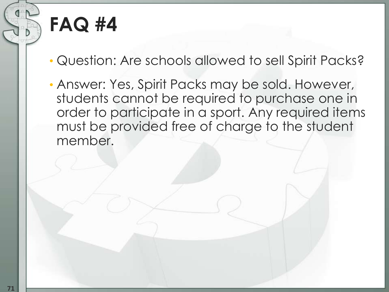- Question: Are schools allowed to sell Spirit Packs?
- Answer: Yes, Spirit Packs may be sold. However, students cannot be required to purchase one in order to participate in a sport. Any required items must be provided free of charge to the student member.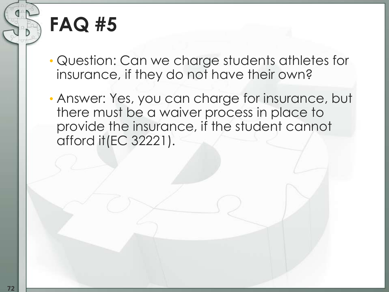- Question: Can we charge students athletes for insurance, if they do not have their own?
- Answer: Yes, you can charge for insurance, but there must be a waiver process in place to provide the insurance, if the student cannot afford it(EC 32221).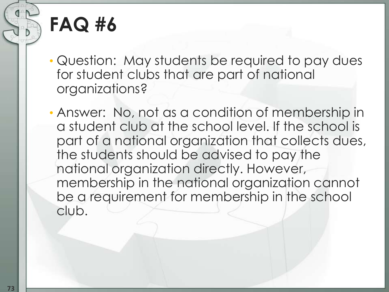## **FAQ #6**

- Question: May students be required to pay dues for student clubs that are part of national organizations?
- Answer: No, not as a condition of membership in a student club at the school level. If the school is part of a national organization that collects dues, the students should be advised to pay the national organization directly. However, membership in the national organization cannot be a requirement for membership in the school club.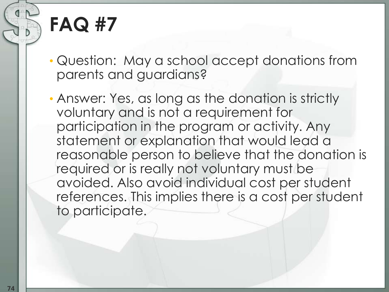## **FAQ #7**

• Question: May a school accept donations from parents and guardians?

• Answer: Yes, as long as the donation is strictly voluntary and is not a requirement for participation in the program or activity. Any statement or explanation that would lead a reasonable person to believe that the donation is required or is really not voluntary must be avoided. Also avoid individual cost per student references. This implies there is a cost per student to participate.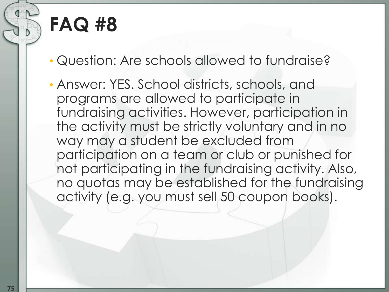## **FAQ #8**

- Question: Are schools allowed to fundraise?
- Answer: YES. School districts, schools, and programs are allowed to participate in fundraising activities. However, participation in the activity must be strictly voluntary and in no way may a student be excluded from participation on a team or club or punished for not participating in the fundraising activity. Also, no quotas may be established for the fundraising activity (e.g. you must sell 50 coupon books).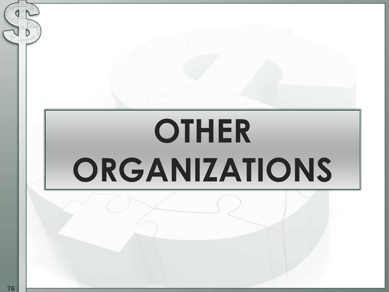# **OTHER ORGANIZATIONS**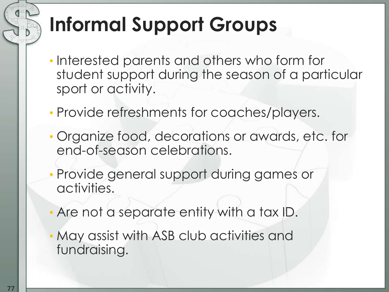## **Informal Support Groups**

- Interested parents and others who form for student support during the season of a particular sport or activity.
- Provide refreshments for coaches/players.
- Organize food, decorations or awards, etc. for end-of-season celebrations.
- Provide general support during games or activities.
- Are not a separate entity with a tax ID.
- May assist with ASB club activities and fundraising.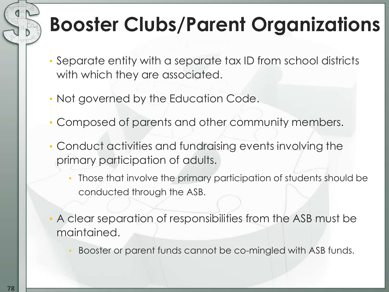## **Booster Clubs/Parent Organizations**

- Separate entity with a separate tax ID from school districts with which they are associated.
- Not governed by the Education Code.
- Composed of parents and other community members.
- Conduct activities and fundraising events involving the primary participation of adults.
	- Those that involve the primary participation of students should be conducted through the ASB.
- A clear separation of responsibilities from the ASB must be maintained.
	- Booster or parent funds cannot be co-mingled with ASB funds.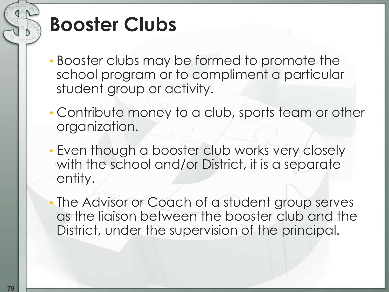## **Booster Clubs**

- Booster clubs may be formed to promote the school program or to compliment a particular student group or activity.
- Contribute money to a club, sports team or other organization.
- Even though a booster club works very closely with the school and/or District, it is a separate entity.

The Advisor or Coach of a student group serves as the liaison between the booster club and the District, under the supervision of the principal.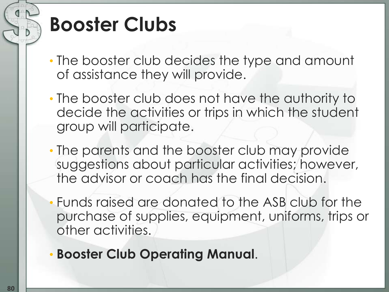## **Booster Clubs**

- The booster club decides the type and amount of assistance they will provide.
- The booster club does not have the authority to decide the activities or trips in which the student group will participate.
- The parents and the booster club may provide suggestions about particular activities; however, the advisor or coach has the final decision.
- Funds raised are donated to the ASB club for the purchase of supplies, equipment, uniforms, trips or other activities.
- **Booster Club Operating Manual**.